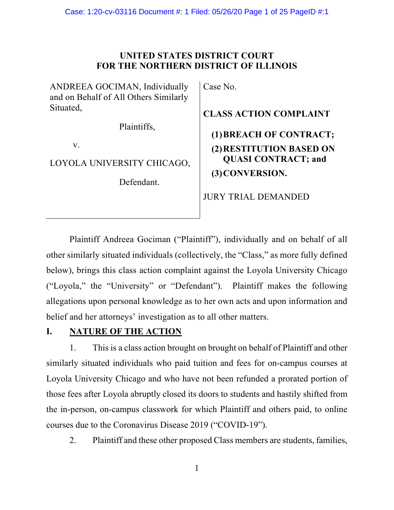## **UNITED STATES DISTRICT COURT FOR THE NORTHERN DISTRICT OF ILLINOIS**

ANDREEA GOCIMAN, Individually and on Behalf of All Others Similarly Situated,

Plaintiffs,

v.

LOYOLA UNIVERSITY CHICAGO,

Defendant.

Case No.

**CLASS ACTION COMPLAINT (1)BREACH OF CONTRACT; (2)RESTITUTION BASED ON QUASI CONTRACT; and (3)CONVERSION.**

JURY TRIAL DEMANDED

Plaintiff Andreea Gociman ("Plaintiff"), individually and on behalf of all other similarly situated individuals (collectively, the "Class," as more fully defined below), brings this class action complaint against the Loyola University Chicago ("Loyola," the "University" or "Defendant"). Plaintiff makes the following allegations upon personal knowledge as to her own acts and upon information and belief and her attorneys' investigation as to all other matters.

# **I. NATURE OF THE ACTION**

1. This is a class action brought on brought on behalf of Plaintiff and other similarly situated individuals who paid tuition and fees for on-campus courses at Loyola University Chicago and who have not been refunded a prorated portion of those fees after Loyola abruptly closed its doors to students and hastily shifted from the in-person, on-campus classwork for which Plaintiff and others paid, to online courses due to the Coronavirus Disease 2019 ("COVID-19").

2. Plaintiff and these other proposed Class members are students, families,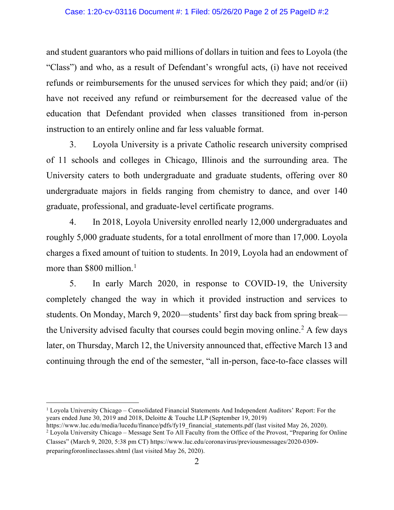and student guarantors who paid millions of dollars in tuition and fees to Loyola (the "Class") and who, as a result of Defendant's wrongful acts, (i) have not received refunds or reimbursements for the unused services for which they paid; and/or (ii) have not received any refund or reimbursement for the decreased value of the education that Defendant provided when classes transitioned from in-person instruction to an entirely online and far less valuable format.

3. Loyola University is a private Catholic research university comprised of 11 schools and colleges in Chicago, Illinois and the surrounding area. The University caters to both undergraduate and graduate students, offering over 80 undergraduate majors in fields ranging from chemistry to dance, and over 140 graduate, professional, and graduate-level certificate programs.

4. In 2018, Loyola University enrolled nearly 12,000 undergraduates and roughly 5,000 graduate students, for a total enrollment of more than 17,000. Loyola charges a fixed amount of tuition to students. In 2019, Loyola had an endowment of more than \$800 million. [1](#page-1-0)

5. In early March 2020, in response to COVID-19, the University completely changed the way in which it provided instruction and services to students. On Monday, March 9, 2020—students' first day back from spring break the University advised faculty that courses could begin moving online. [2](#page-1-1) A few days later, on Thursday, March 12, the University announced that, effective March 13 and continuing through the end of the semester, "all in-person, face-to-face classes will

<span id="page-1-0"></span><sup>1</sup> Loyola University Chicago – Consolidated Financial Statements And Independent Auditors' Report: For the years ended June 30, 2019 and 2018, Deloitte & Touche LLP (September 19, 2019)

<span id="page-1-1"></span>https://www.luc.edu/media/lucedu/finance/pdfs/fy19\_financial\_statements.pdf (last visited May 26, 2020). <sup>2</sup> Loyola University Chicago – Message Sent To All Faculty from the Office of the Provost, "Preparing for Online Classes" (March 9, 2020, 5:38 pm CT) https://www.luc.edu/coronavirus/previousmessages/2020-0309 preparingforonlineclasses.shtml (last visited May 26, 2020).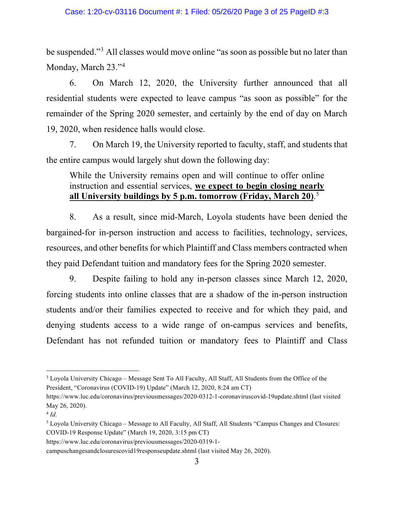be suspended."[3](#page-2-0) All classes would move online "as soon as possible but no later than Monday, March 23."[4](#page-2-1)

6. On March 12, 2020, the University further announced that all residential students were expected to leave campus "as soon as possible" for the remainder of the Spring 2020 semester, and certainly by the end of day on March 19, 2020, when residence halls would close.

7. On March 19, the University reported to faculty, staff, and students that the entire campus would largely shut down the following day:

# While the University remains open and will continue to offer online instruction and essential services, **we expect to begin closing nearly all University buildings by 5 p.m. tomorrow (Friday, March 20)**. [5](#page-2-2)

8. As a result, since mid-March, Loyola students have been denied the bargained-for in-person instruction and access to facilities, technology, services, resources, and other benefits for which Plaintiff and Class members contracted when they paid Defendant tuition and mandatory fees for the Spring 2020 semester.

9. Despite failing to hold any in-person classes since March 12, 2020, forcing students into online classes that are a shadow of the in-person instruction students and/or their families expected to receive and for which they paid, and denying students access to a wide range of on-campus services and benefits, Defendant has not refunded tuition or mandatory fees to Plaintiff and Class

<span id="page-2-0"></span><sup>3</sup> Loyola University Chicago – Message Sent To All Faculty, All Staff, All Students from the Office of the President, "Coronavirus (COVID-19) Update" (March 12, 2020, 8:24 am CT)

https://www.luc.edu/coronavirus/previousmessages/2020-0312-1-coronaviruscovid-19update.shtml (last visited May 26, 2020).

<span id="page-2-1"></span><sup>4</sup> *Id.*

<span id="page-2-2"></span><sup>5</sup> Loyola University Chicago – Message to All Faculty, All Staff, All Students "Campus Changes and Closures: COVID-19 Response Update" (March 19, 2020, 3:15 pm CT)

https://www.luc.edu/coronavirus/previousmessages/2020-0319-1-

campuschangesandclosurescovid19responseupdate.shtml (last visited May 26, 2020).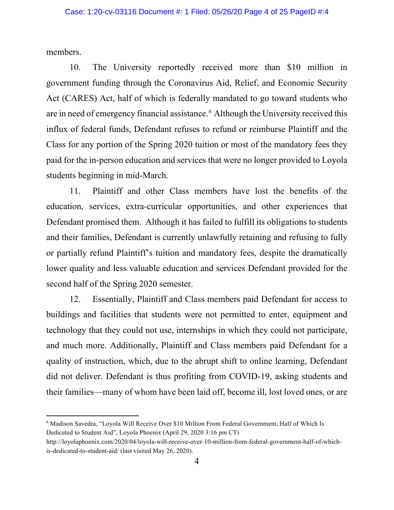members.

10. The University reportedly received more than \$10 million in government funding through the Coronavirus Aid, Relief, and Economic Security Act (CARES) Act, half of which is federally mandated to go toward students who are in need of emergency financial assistance. [6](#page-3-0) Although the University received this influx of federal funds, Defendant refuses to refund or reimburse Plaintiff and the Class for any portion of the Spring 2020 tuition or most of the mandatory fees they paid for the in-person education and services that were no longer provided to Loyola students beginning in mid-March.

11. Plaintiff and other Class members have lost the benefits of the education, services, extra-curricular opportunities, and other experiences that Defendant promised them. Although it has failed to fulfill its obligations to students and their families, Defendant is currently unlawfully retaining and refusing to fully or partially refund Plaintiff's tuition and mandatory fees, despite the dramatically lower quality and less valuable education and services Defendant provided for the second half of the Spring 2020 semester.

12. Essentially, Plaintiff and Class members paid Defendant for access to buildings and facilities that students were not permitted to enter, equipment and technology that they could not use, internships in which they could not participate, and much more. Additionally, Plaintiff and Class members paid Defendant for a quality of instruction, which, due to the abrupt shift to online learning, Defendant did not deliver. Defendant is thus profiting from COVID-19, asking students and their families—many of whom have been laid off, become ill, lost loved ones, or are

<span id="page-3-0"></span><sup>6</sup> Madison Savedra, "Loyola Will Receive Over \$10 Million From Federal Government, Half of Which Is Dedicated to Student Aid", Loyola Phoenix (April 29, 2020 3:16 pm CT)

http://loyolaphoenix.com/2020/04/loyola-will-receive-over-10-million-from-federal-government-half-of-whichis-dedicated-to-student-aid/ (last visited May 26, 2020).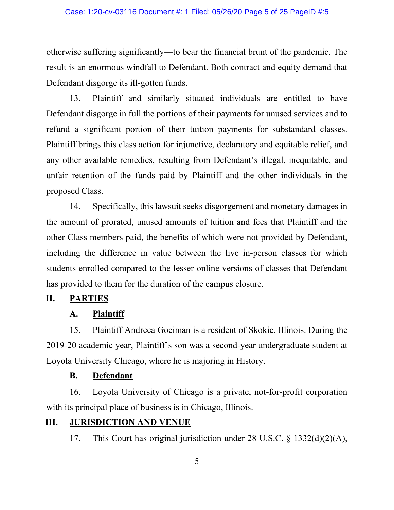otherwise suffering significantly—to bear the financial brunt of the pandemic. The result is an enormous windfall to Defendant. Both contract and equity demand that Defendant disgorge its ill-gotten funds.

13. Plaintiff and similarly situated individuals are entitled to have Defendant disgorge in full the portions of their payments for unused services and to refund a significant portion of their tuition payments for substandard classes. Plaintiff brings this class action for injunctive, declaratory and equitable relief, and any other available remedies, resulting from Defendant's illegal, inequitable, and unfair retention of the funds paid by Plaintiff and the other individuals in the proposed Class.

14. Specifically, this lawsuit seeks disgorgement and monetary damages in the amount of prorated, unused amounts of tuition and fees that Plaintiff and the other Class members paid, the benefits of which were not provided by Defendant, including the difference in value between the live in-person classes for which students enrolled compared to the lesser online versions of classes that Defendant has provided to them for the duration of the campus closure.

## **II. PARTIES**

### **A. Plaintiff**

15. Plaintiff Andreea Gociman is a resident of Skokie, Illinois. During the 2019-20 academic year, Plaintiff's son was a second-year undergraduate student at Loyola University Chicago, where he is majoring in History.

## **B. Defendant**

16. Loyola University of Chicago is a private, not-for-profit corporation with its principal place of business is in Chicago, Illinois.

## **III. JURISDICTION AND VENUE**

17. This Court has original jurisdiction under 28 U.S.C. § 1332(d)(2)(A),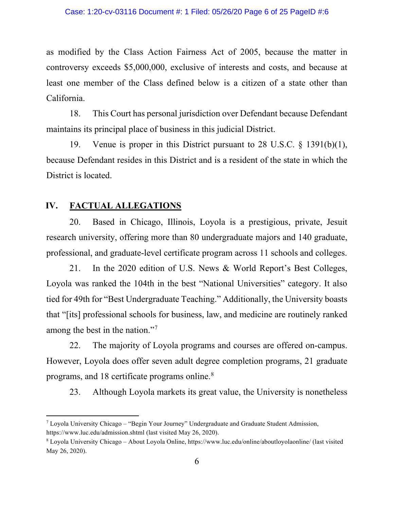#### Case: 1:20-cv-03116 Document #: 1 Filed: 05/26/20 Page 6 of 25 PageID #:6

as modified by the Class Action Fairness Act of 2005, because the matter in controversy exceeds \$5,000,000, exclusive of interests and costs, and because at least one member of the Class defined below is a citizen of a state other than California.

18. This Court has personal jurisdiction over Defendant because Defendant maintains its principal place of business in this judicial District.

19. Venue is proper in this District pursuant to 28 U.S.C. § 1391(b)(1), because Defendant resides in this District and is a resident of the state in which the District is located.

### **IV. FACTUAL ALLEGATIONS**

20. Based in Chicago, Illinois, Loyola is a prestigious, private, Jesuit research university, offering more than 80 undergraduate majors and 140 graduate, professional, and graduate-level certificate program across 11 schools and colleges.

21. In the 2020 edition of U.S. News & World Report's Best Colleges, Loyola was ranked the 104th in the best "National Universities" category. It also tied for 49th for "Best Undergraduate Teaching." Additionally, the University boasts that "[its] professional schools for business, law, and medicine are routinely ranked among the best in the nation."<sup>[7](#page-5-0)</sup>

22. The majority of Loyola programs and courses are offered on-campus. However, Loyola does offer seven adult degree completion programs, 21 graduate programs, and 1[8](#page-5-1) certificate programs online.<sup>8</sup>

23. Although Loyola markets its great value, the University is nonetheless

<span id="page-5-0"></span> $^7$  Loyola University Chicago – "Begin Your Journey" Undergraduate and Graduate Student Admission, https://www.luc.edu/admission.shtml (last visited May 26, 2020).

<span id="page-5-1"></span><sup>8</sup> Loyola University Chicago – About Loyola Online, https://www.luc.edu/online/aboutloyolaonline/ (last visited May 26, 2020).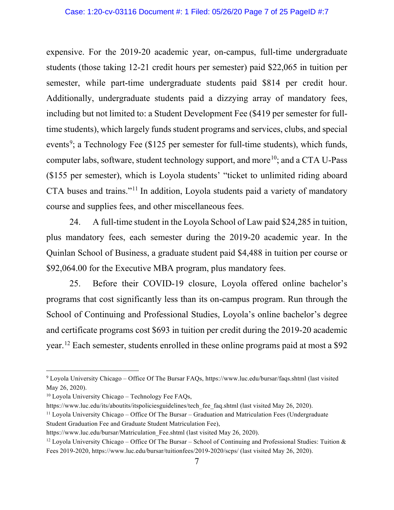expensive. For the 2019-20 academic year, on-campus, full-time undergraduate students (those taking 12-21 credit hours per semester) paid \$22,065 in tuition per semester, while part-time undergraduate students paid \$814 per credit hour. Additionally, undergraduate students paid a dizzying array of mandatory fees, including but not limited to: a Student Development Fee (\$419 per semester for fulltime students), which largely funds student programs and services, clubs, and special events<sup>[9](#page-6-0)</sup>; a Technology Fee (\$125 per semester for full-time students), which funds, computer labs, software, student technology support, and more<sup>[10](#page-6-1)</sup>; and a CTA U-Pass (\$155 per semester), which is Loyola students' "ticket to unlimited riding aboard CTA buses and trains."[11](#page-6-2) In addition, Loyola students paid a variety of mandatory course and supplies fees, and other miscellaneous fees.

24. A full-time student in the Loyola School of Law paid \$24,285 in tuition, plus mandatory fees, each semester during the 2019-20 academic year. In the Quinlan School of Business, a graduate student paid \$4,488 in tuition per course or \$92,064.00 for the Executive MBA program, plus mandatory fees.

25. Before their COVID-19 closure, Loyola offered online bachelor's programs that cost significantly less than its on-campus program. Run through the School of Continuing and Professional Studies, Loyola's online bachelor's degree and certificate programs cost \$693 in tuition per credit during the 2019-20 academic year. [12](#page-6-3) Each semester, students enrolled in these online programs paid at most a \$92

<span id="page-6-0"></span><sup>9</sup> Loyola University Chicago – Office Of The Bursar FAQs, https://www.luc.edu/bursar/faqs.shtml (last visited May 26, 2020).

<span id="page-6-1"></span> $10$  Loyola University Chicago – Technology Fee FAQs,

https://www.luc.edu/its/aboutits/itspoliciesguidelines/tech\_fee\_faq.shtml (last visited May 26, 2020).

<span id="page-6-2"></span><sup>11</sup> Loyola University Chicago – Office Of The Bursar – Graduation and Matriculation Fees (Undergraduate Student Graduation Fee and Graduate Student Matriculation Fee),

https://www.luc.edu/bursar/Matriculation Fee.shtml (last visited May 26, 2020).

<span id="page-6-3"></span><sup>&</sup>lt;sup>12</sup> Loyola University Chicago – Office Of The Bursar – School of Continuing and Professional Studies: Tuition & Fees 2019-2020, https://www.luc.edu/bursar/tuitionfees/2019-2020/scps/ (last visited May 26, 2020).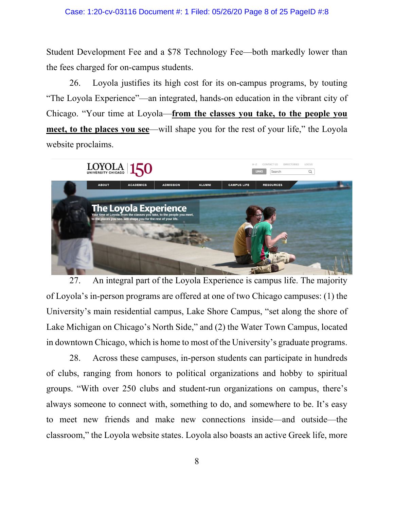Student Development Fee and a \$78 Technology Fee—both markedly lower than the fees charged for on-campus students.

26. Loyola justifies its high cost for its on-campus programs, by touting "The Loyola Experience"—an integrated, hands-on education in the vibrant city of Chicago. "Your time at Loyola—**from the classes you take, to the people you meet, to the places you see—will shape you for the rest of your life," the Loyola** website proclaims.



27. An integral part of the Loyola Experience is campus life. The majority of Loyola's in-person programs are offered at one of two Chicago campuses: (1) the University's main residential campus, Lake Shore Campus, "set along the shore of Lake Michigan on Chicago's North Side," and (2) the Water Town Campus, located in downtown Chicago, which is home to most of the University's graduate programs.

28. Across these campuses, in-person students can participate in hundreds of clubs, ranging from honors to political organizations and hobby to spiritual groups. "With over 250 clubs and student-run organizations on campus, there's always someone to connect with, something to do, and somewhere to be. It's easy to meet new friends and make new connections inside—and outside—the classroom," the Loyola website states. Loyola also boasts an active Greek life, more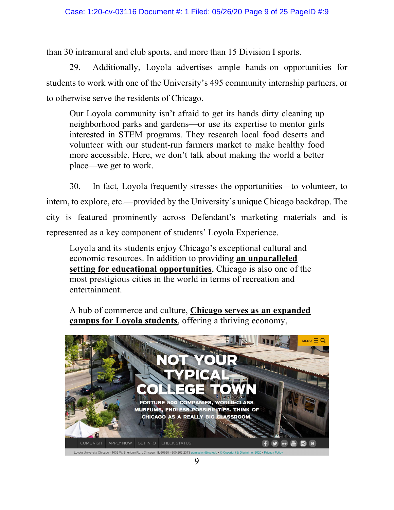than 30 intramural and club sports, and more than 15 Division I sports.

29. Additionally, Loyola advertises ample hands-on opportunities for students to work with one of the University's 495 community internship partners, or to otherwise serve the residents of Chicago.

Our Loyola community isn't afraid to get its hands dirty cleaning up neighborhood parks and gardens—or use its expertise to mentor girls interested in STEM programs. They research local food deserts and volunteer with our student-run farmers market to make healthy food more accessible. Here, we don't talk about making the world a better place—we get to work.

30. In fact, Loyola frequently stresses the opportunities—to volunteer, to intern, to explore, etc.—provided by the University's unique Chicago backdrop. The city is featured prominently across Defendant's marketing materials and is represented as a key component of students' Loyola Experience.

Loyola and its students enjoy Chicago's exceptional cultural and economic resources. In addition to providing **an unparalleled setting for educational opportunities**, Chicago is also one of the most prestigious cities in the world in terms of recreation and entertainment.

A hub of commerce and culture, **Chicago serves as an expanded campus for Loyola students**, offering a thriving economy,

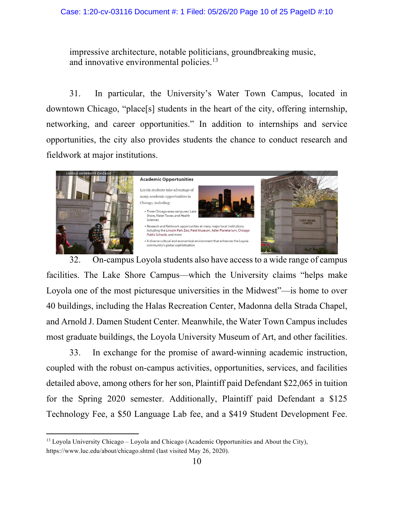#### Case: 1:20-cv-03116 Document #: 1 Filed: 05/26/20 Page 10 of 25 PageID #:10

impressive architecture, notable politicians, groundbreaking music, and innovative environmental policies.<sup>[13](#page-9-0)</sup>

31. In particular, the University's Water Town Campus, located in downtown Chicago, "place[s] students in the heart of the city, offering internship, networking, and career opportunities." In addition to internships and service opportunities, the city also provides students the chance to conduct research and fieldwork at major institutions.



32. On-campus Loyola students also have access to a wide range of campus facilities. The Lake Shore Campus—which the University claims "helps make Loyola one of the most picturesque universities in the Midwest"—is home to over 40 buildings, including the Halas Recreation Center, Madonna della Strada Chapel, and Arnold J. Damen Student Center. Meanwhile, the Water Town Campus includes most graduate buildings, the Loyola University Museum of Art, and other facilities.

33. In exchange for the promise of award-winning academic instruction, coupled with the robust on-campus activities, opportunities, services, and facilities detailed above, among others for her son, Plaintiff paid Defendant \$22,065 in tuition for the Spring 2020 semester. Additionally, Plaintiff paid Defendant a \$125 Technology Fee, a \$50 Language Lab fee, and a \$419 Student Development Fee.

<span id="page-9-0"></span> $13$  Loyola University Chicago – Loyola and Chicago (Academic Opportunities and About the City), https://www.luc.edu/about/chicago.shtml (last visited May 26, 2020).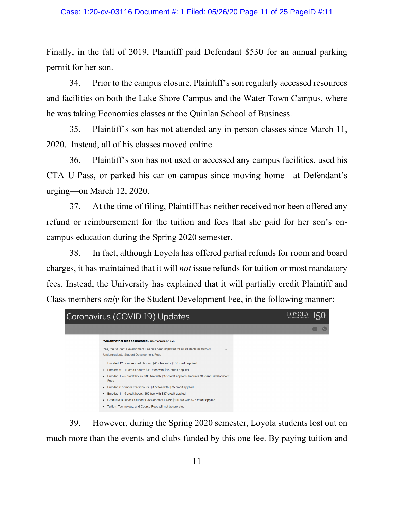Finally, in the fall of 2019, Plaintiff paid Defendant \$530 for an annual parking permit for her son.

34. Prior to the campus closure, Plaintiff's son regularly accessed resources and facilities on both the Lake Shore Campus and the Water Town Campus, where he was taking Economics classes at the Quinlan School of Business.

35. Plaintiff's son has not attended any in-person classes since March 11, 2020. Instead, all of his classes moved online.

36. Plaintiff's son has not used or accessed any campus facilities, used his CTA U-Pass, or parked his car on-campus since moving home—at Defendant's urging—on March 12, 2020.

37. At the time of filing, Plaintiff has neither received nor been offered any refund or reimbursement for the tuition and fees that she paid for her son's oncampus education during the Spring 2020 semester.

38. In fact, although Loyola has offered partial refunds for room and board charges, it has maintained that it will *not* issue refunds for tuition or most mandatory fees. Instead, the University has explained that it will partially credit Plaintiff and Class members *only* for the Student Development Fee, in the following manner:



39. However, during the Spring 2020 semester, Loyola students lost out on much more than the events and clubs funded by this one fee. By paying tuition and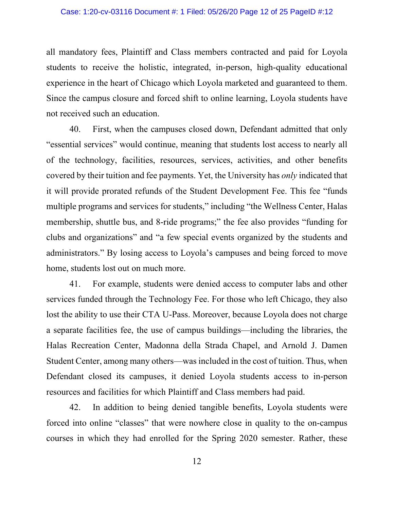all mandatory fees, Plaintiff and Class members contracted and paid for Loyola students to receive the holistic, integrated, in-person, high-quality educational experience in the heart of Chicago which Loyola marketed and guaranteed to them. Since the campus closure and forced shift to online learning, Loyola students have not received such an education.

40. First, when the campuses closed down, Defendant admitted that only "essential services" would continue, meaning that students lost access to nearly all of the technology, facilities, resources, services, activities, and other benefits covered by their tuition and fee payments. Yet, the University has *only* indicated that it will provide prorated refunds of the Student Development Fee. This fee "funds multiple programs and services for students," including "the Wellness Center, Halas membership, shuttle bus, and 8-ride programs;" the fee also provides "funding for clubs and organizations" and "a few special events organized by the students and administrators." By losing access to Loyola's campuses and being forced to move home, students lost out on much more.

41. For example, students were denied access to computer labs and other services funded through the Technology Fee. For those who left Chicago, they also lost the ability to use their CTA U-Pass. Moreover, because Loyola does not charge a separate facilities fee, the use of campus buildings—including the libraries, the Halas Recreation Center, Madonna della Strada Chapel, and Arnold J. Damen Student Center, among many others—was included in the cost of tuition. Thus, when Defendant closed its campuses, it denied Loyola students access to in-person resources and facilities for which Plaintiff and Class members had paid.

42. In addition to being denied tangible benefits, Loyola students were forced into online "classes" that were nowhere close in quality to the on-campus courses in which they had enrolled for the Spring 2020 semester. Rather, these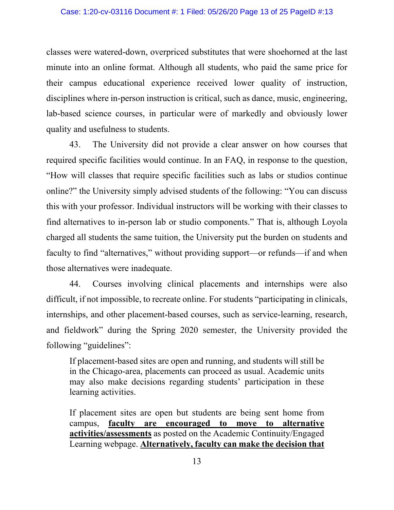#### Case: 1:20-cv-03116 Document #: 1 Filed: 05/26/20 Page 13 of 25 PageID #:13

classes were watered-down, overpriced substitutes that were shoehorned at the last minute into an online format. Although all students, who paid the same price for their campus educational experience received lower quality of instruction, disciplines where in-person instruction is critical, such as dance, music, engineering, lab-based science courses, in particular were of markedly and obviously lower quality and usefulness to students.

43. The University did not provide a clear answer on how courses that required specific facilities would continue. In an FAQ, in response to the question, "How will classes that require specific facilities such as labs or studios continue online?" the University simply advised students of the following: "You can discuss this with your professor. Individual instructors will be working with their classes to find alternatives to in-person lab or studio components." That is, although Loyola charged all students the same tuition, the University put the burden on students and faculty to find "alternatives," without providing support—or refunds—if and when those alternatives were inadequate.

44. Courses involving clinical placements and internships were also difficult, if not impossible, to recreate online. For students "participating in clinicals, internships, and other placement-based courses, such as service-learning, research, and fieldwork" during the Spring 2020 semester, the University provided the following "guidelines":

If placement-based sites are open and running, and students will still be in the Chicago-area, placements can proceed as usual. Academic units may also make decisions regarding students' participation in these learning activities.

If placement sites are open but students are being sent home from campus, **faculty are encouraged to move to alternative activities/assessments** as posted on the Academic Continuity/Engaged Learning webpage. **Alternatively, faculty can make the decision that**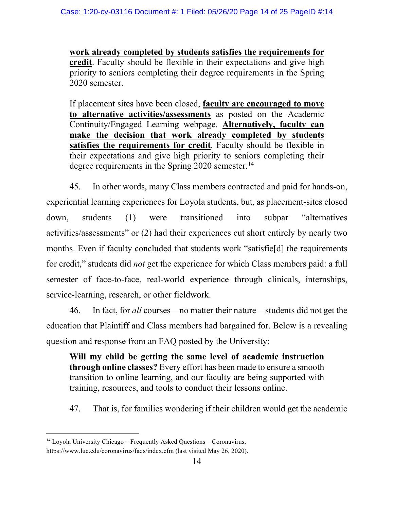**work already completed by students satisfies the requirements for credit**. Faculty should be flexible in their expectations and give high priority to seniors completing their degree requirements in the Spring 2020 semester.

If placement sites have been closed, **faculty are encouraged to move to alternative activities/assessments** as posted on the Academic Continuity/Engaged Learning webpage. **Alternatively, faculty can make the decision that work already completed by students satisfies the requirements for credit**. Faculty should be flexible in their expectations and give high priority to seniors completing their degree requirements in the Spring 2020 semester.<sup>[14](#page-13-0)</sup>

45. In other words, many Class members contracted and paid for hands-on, experiential learning experiences for Loyola students, but, as placement-sites closed down, students (1) were transitioned into subpar "alternatives activities/assessments" or (2) had their experiences cut short entirely by nearly two months. Even if faculty concluded that students work "satisfie[d] the requirements for credit," students did *not* get the experience for which Class members paid: a full semester of face-to-face, real-world experience through clinicals, internships, service-learning, research, or other fieldwork.

46. In fact, for *all* courses—no matter their nature—students did not get the education that Plaintiff and Class members had bargained for. Below is a revealing question and response from an FAQ posted by the University:

**Will my child be getting the same level of academic instruction through online classes?** Every effort has been made to ensure a smooth transition to online learning, and our faculty are being supported with training, resources, and tools to conduct their lessons online.

47. That is, for families wondering if their children would get the academic

<span id="page-13-0"></span> $14$  Loyola University Chicago – Frequently Asked Questions – Coronavirus,

https://www.luc.edu/coronavirus/faqs/index.cfm (last visited May 26, 2020).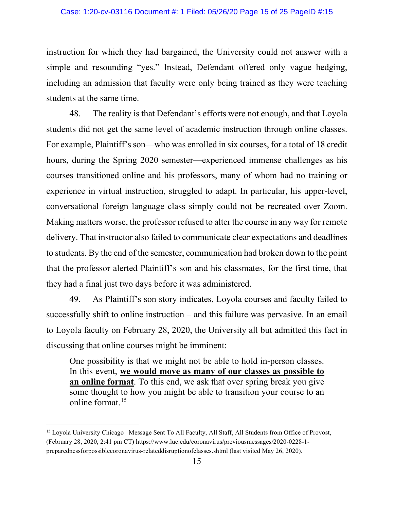instruction for which they had bargained, the University could not answer with a simple and resounding "yes." Instead, Defendant offered only vague hedging, including an admission that faculty were only being trained as they were teaching students at the same time.

48. The reality is that Defendant's efforts were not enough, and that Loyola students did not get the same level of academic instruction through online classes. For example, Plaintiff's son—who was enrolled in six courses, for a total of 18 credit hours, during the Spring 2020 semester—experienced immense challenges as his courses transitioned online and his professors, many of whom had no training or experience in virtual instruction, struggled to adapt. In particular, his upper-level, conversational foreign language class simply could not be recreated over Zoom. Making matters worse, the professor refused to alter the course in any way for remote delivery. That instructor also failed to communicate clear expectations and deadlines to students. By the end of the semester, communication had broken down to the point that the professor alerted Plaintiff's son and his classmates, for the first time, that they had a final just two days before it was administered.

49. As Plaintiff's son story indicates, Loyola courses and faculty failed to successfully shift to online instruction – and this failure was pervasive. In an email to Loyola faculty on February 28, 2020, the University all but admitted this fact in discussing that online courses might be imminent:

One possibility is that we might not be able to hold in-person classes. In this event, **we would move as many of our classes as possible to an online format**. To this end, we ask that over spring break you give some thought to how you might be able to transition your course to an online format.<sup>[15](#page-14-0)</sup>

<span id="page-14-0"></span><sup>&</sup>lt;sup>15</sup> Loyola University Chicago –Message Sent To All Faculty, All Staff, All Students from Office of Provost, (February 28, 2020, 2:41 pm CT) https://www.luc.edu/coronavirus/previousmessages/2020-0228-1 preparednessforpossiblecoronavirus-relateddisruptionofclasses.shtml (last visited May 26, 2020).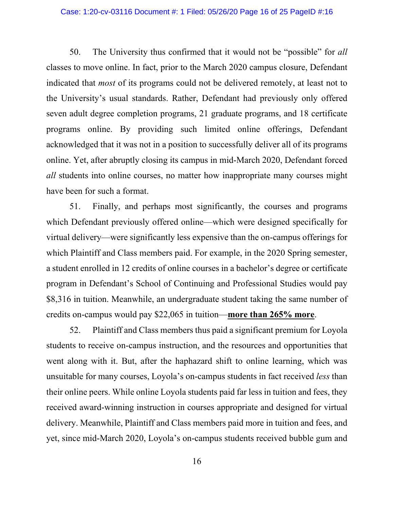#### Case: 1:20-cv-03116 Document #: 1 Filed: 05/26/20 Page 16 of 25 PageID #:16

50. The University thus confirmed that it would not be "possible" for *all*  classes to move online. In fact, prior to the March 2020 campus closure, Defendant indicated that *most* of its programs could not be delivered remotely, at least not to the University's usual standards. Rather, Defendant had previously only offered seven adult degree completion programs, 21 graduate programs, and 18 certificate programs online. By providing such limited online offerings, Defendant acknowledged that it was not in a position to successfully deliver all of its programs online. Yet, after abruptly closing its campus in mid-March 2020, Defendant forced *all* students into online courses, no matter how inappropriate many courses might have been for such a format.

51. Finally, and perhaps most significantly, the courses and programs which Defendant previously offered online—which were designed specifically for virtual delivery—were significantly less expensive than the on-campus offerings for which Plaintiff and Class members paid. For example, in the 2020 Spring semester, a student enrolled in 12 credits of online courses in a bachelor's degree or certificate program in Defendant's School of Continuing and Professional Studies would pay \$8,316 in tuition. Meanwhile, an undergraduate student taking the same number of credits on-campus would pay \$22,065 in tuition—**more than 265% more**.

52. Plaintiff and Class members thus paid a significant premium for Loyola students to receive on-campus instruction, and the resources and opportunities that went along with it. But, after the haphazard shift to online learning, which was unsuitable for many courses, Loyola's on-campus students in fact received *less* than their online peers. While online Loyola students paid far less in tuition and fees, they received award-winning instruction in courses appropriate and designed for virtual delivery. Meanwhile, Plaintiff and Class members paid more in tuition and fees, and yet, since mid-March 2020, Loyola's on-campus students received bubble gum and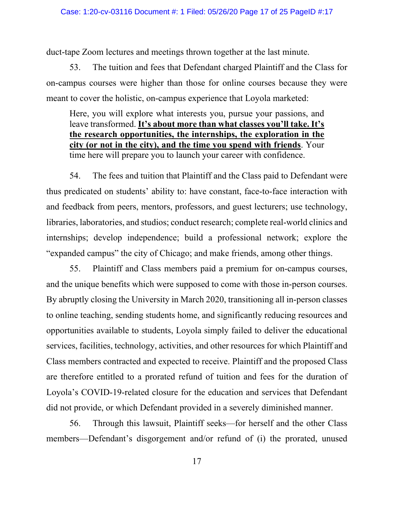duct-tape Zoom lectures and meetings thrown together at the last minute.

53. The tuition and fees that Defendant charged Plaintiff and the Class for on-campus courses were higher than those for online courses because they were meant to cover the holistic, on-campus experience that Loyola marketed:

Here, you will explore what interests you, pursue your passions, and leave transformed. **It's about more than what classes you'll take. It's the research opportunities, the internships, the exploration in the city (or not in the city), and the time you spend with friends**. Your time here will prepare you to launch your career with confidence.

54. The fees and tuition that Plaintiff and the Class paid to Defendant were thus predicated on students' ability to: have constant, face-to-face interaction with and feedback from peers, mentors, professors, and guest lecturers; use technology, libraries, laboratories, and studios; conduct research; complete real-world clinics and internships; develop independence; build a professional network; explore the "expanded campus" the city of Chicago; and make friends, among other things.

55. Plaintiff and Class members paid a premium for on-campus courses, and the unique benefits which were supposed to come with those in-person courses. By abruptly closing the University in March 2020, transitioning all in-person classes to online teaching, sending students home, and significantly reducing resources and opportunities available to students, Loyola simply failed to deliver the educational services, facilities, technology, activities, and other resources for which Plaintiff and Class members contracted and expected to receive. Plaintiff and the proposed Class are therefore entitled to a prorated refund of tuition and fees for the duration of Loyola's COVID-19-related closure for the education and services that Defendant did not provide, or which Defendant provided in a severely diminished manner.

56. Through this lawsuit, Plaintiff seeks—for herself and the other Class members—Defendant's disgorgement and/or refund of (i) the prorated, unused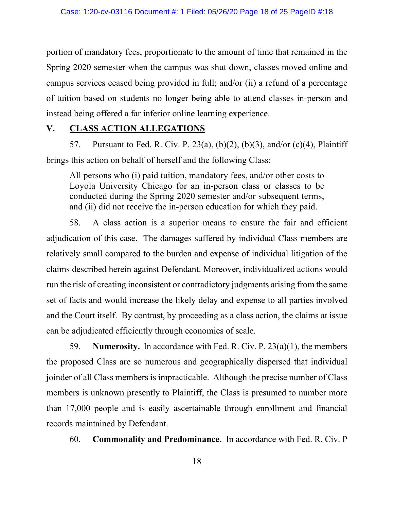portion of mandatory fees, proportionate to the amount of time that remained in the Spring 2020 semester when the campus was shut down, classes moved online and campus services ceased being provided in full; and/or (ii) a refund of a percentage of tuition based on students no longer being able to attend classes in-person and instead being offered a far inferior online learning experience.

# **V. CLASS ACTION ALLEGATIONS**

57. Pursuant to Fed. R. Civ. P. 23(a), (b)(2), (b)(3), and/or (c)(4), Plaintiff brings this action on behalf of herself and the following Class:

All persons who (i) paid tuition, mandatory fees, and/or other costs to Loyola University Chicago for an in-person class or classes to be conducted during the Spring 2020 semester and/or subsequent terms, and (ii) did not receive the in-person education for which they paid.

58. A class action is a superior means to ensure the fair and efficient adjudication of this case. The damages suffered by individual Class members are relatively small compared to the burden and expense of individual litigation of the claims described herein against Defendant. Moreover, individualized actions would run the risk of creating inconsistent or contradictory judgments arising from the same set of facts and would increase the likely delay and expense to all parties involved and the Court itself. By contrast, by proceeding as a class action, the claims at issue can be adjudicated efficiently through economies of scale.

59. **Numerosity.** In accordance with Fed. R. Civ. P. 23(a)(1), the members the proposed Class are so numerous and geographically dispersed that individual joinder of all Class members is impracticable. Although the precise number of Class members is unknown presently to Plaintiff, the Class is presumed to number more than 17,000 people and is easily ascertainable through enrollment and financial records maintained by Defendant.

60. **Commonality and Predominance.** In accordance with Fed. R. Civ. P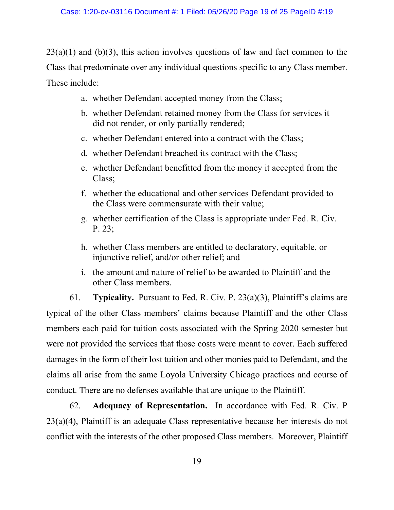$23(a)(1)$  and (b)(3), this action involves questions of law and fact common to the Class that predominate over any individual questions specific to any Class member. These include:

- a. whether Defendant accepted money from the Class;
- b. whether Defendant retained money from the Class for services it did not render, or only partially rendered;
- c. whether Defendant entered into a contract with the Class;
- d. whether Defendant breached its contract with the Class;
- e. whether Defendant benefitted from the money it accepted from the Class;
- f. whether the educational and other services Defendant provided to the Class were commensurate with their value;
- g. whether certification of the Class is appropriate under Fed. R. Civ. P. 23;
- h. whether Class members are entitled to declaratory, equitable, or injunctive relief, and/or other relief; and
- i. the amount and nature of relief to be awarded to Plaintiff and the other Class members.

61. **Typicality.** Pursuant to Fed. R. Civ. P. 23(a)(3), Plaintiff's claims are typical of the other Class members' claims because Plaintiff and the other Class members each paid for tuition costs associated with the Spring 2020 semester but were not provided the services that those costs were meant to cover. Each suffered damages in the form of their lost tuition and other monies paid to Defendant, and the claims all arise from the same Loyola University Chicago practices and course of conduct. There are no defenses available that are unique to the Plaintiff.

62. **Adequacy of Representation.** In accordance with Fed. R. Civ. P 23(a)(4), Plaintiff is an adequate Class representative because her interests do not conflict with the interests of the other proposed Class members. Moreover, Plaintiff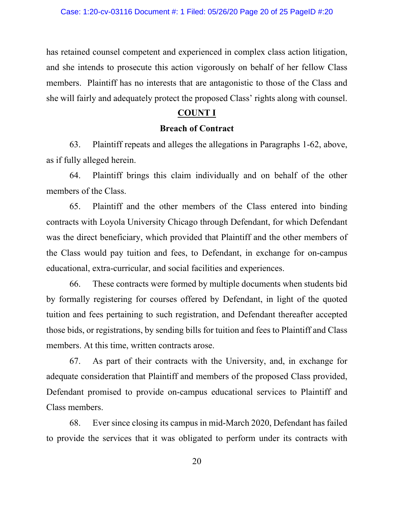has retained counsel competent and experienced in complex class action litigation, and she intends to prosecute this action vigorously on behalf of her fellow Class members. Plaintiff has no interests that are antagonistic to those of the Class and she will fairly and adequately protect the proposed Class' rights along with counsel.

## **COUNT I**

## **Breach of Contract**

63. Plaintiff repeats and alleges the allegations in Paragraphs 1-62, above, as if fully alleged herein.

64. Plaintiff brings this claim individually and on behalf of the other members of the Class.

65. Plaintiff and the other members of the Class entered into binding contracts with Loyola University Chicago through Defendant, for which Defendant was the direct beneficiary, which provided that Plaintiff and the other members of the Class would pay tuition and fees, to Defendant, in exchange for on-campus educational, extra-curricular, and social facilities and experiences.

66. These contracts were formed by multiple documents when students bid by formally registering for courses offered by Defendant, in light of the quoted tuition and fees pertaining to such registration, and Defendant thereafter accepted those bids, or registrations, by sending bills for tuition and fees to Plaintiff and Class members. At this time, written contracts arose.

67. As part of their contracts with the University, and, in exchange for adequate consideration that Plaintiff and members of the proposed Class provided, Defendant promised to provide on-campus educational services to Plaintiff and Class members.

68. Ever since closing its campus in mid-March 2020, Defendant has failed to provide the services that it was obligated to perform under its contracts with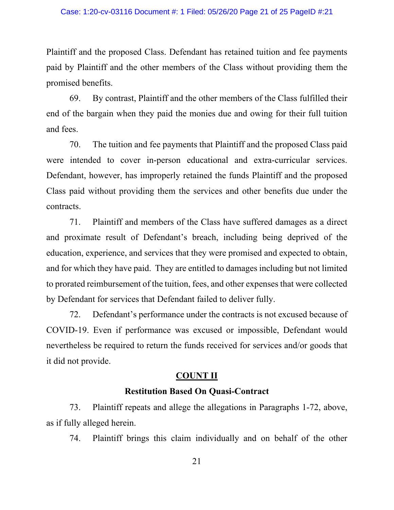Plaintiff and the proposed Class. Defendant has retained tuition and fee payments paid by Plaintiff and the other members of the Class without providing them the promised benefits.

69. By contrast, Plaintiff and the other members of the Class fulfilled their end of the bargain when they paid the monies due and owing for their full tuition and fees.

70. The tuition and fee payments that Plaintiff and the proposed Class paid were intended to cover in-person educational and extra-curricular services. Defendant, however, has improperly retained the funds Plaintiff and the proposed Class paid without providing them the services and other benefits due under the contracts.

71. Plaintiff and members of the Class have suffered damages as a direct and proximate result of Defendant's breach, including being deprived of the education, experience, and services that they were promised and expected to obtain, and for which they have paid. They are entitled to damages including but not limited to prorated reimbursement of the tuition, fees, and other expenses that were collected by Defendant for services that Defendant failed to deliver fully.

72. Defendant's performance under the contracts is not excused because of COVID-19. Even if performance was excused or impossible, Defendant would nevertheless be required to return the funds received for services and/or goods that it did not provide.

## **COUNT II**

### **Restitution Based On Quasi-Contract**

73. Plaintiff repeats and allege the allegations in Paragraphs 1-72, above, as if fully alleged herein.

74. Plaintiff brings this claim individually and on behalf of the other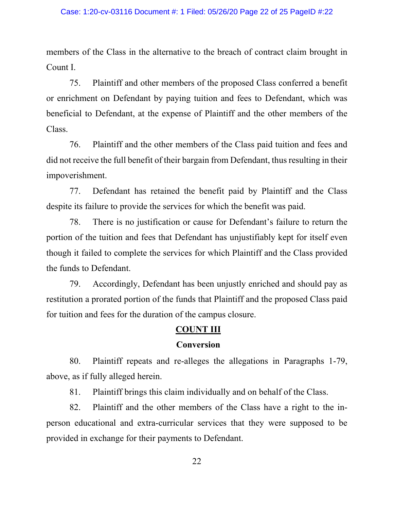members of the Class in the alternative to the breach of contract claim brought in Count I.

75. Plaintiff and other members of the proposed Class conferred a benefit or enrichment on Defendant by paying tuition and fees to Defendant, which was beneficial to Defendant, at the expense of Plaintiff and the other members of the Class.

76. Plaintiff and the other members of the Class paid tuition and fees and did not receive the full benefit of their bargain from Defendant, thus resulting in their impoverishment.

77. Defendant has retained the benefit paid by Plaintiff and the Class despite its failure to provide the services for which the benefit was paid.

78. There is no justification or cause for Defendant's failure to return the portion of the tuition and fees that Defendant has unjustifiably kept for itself even though it failed to complete the services for which Plaintiff and the Class provided the funds to Defendant.

79. Accordingly, Defendant has been unjustly enriched and should pay as restitution a prorated portion of the funds that Plaintiff and the proposed Class paid for tuition and fees for the duration of the campus closure.

## **COUNT III**

### **Conversion**

80. Plaintiff repeats and re-alleges the allegations in Paragraphs 1-79, above, as if fully alleged herein.

81. Plaintiff brings this claim individually and on behalf of the Class.

82. Plaintiff and the other members of the Class have a right to the inperson educational and extra-curricular services that they were supposed to be provided in exchange for their payments to Defendant.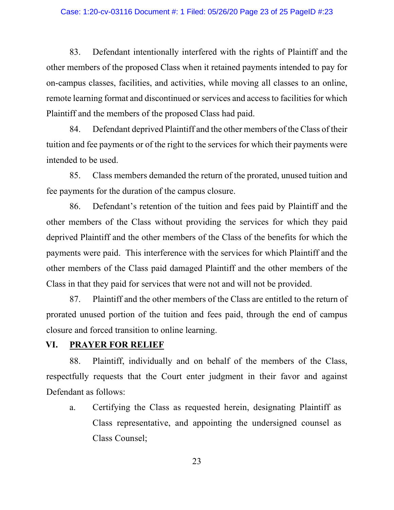#### Case: 1:20-cv-03116 Document #: 1 Filed: 05/26/20 Page 23 of 25 PageID #:23

83. Defendant intentionally interfered with the rights of Plaintiff and the other members of the proposed Class when it retained payments intended to pay for on-campus classes, facilities, and activities, while moving all classes to an online, remote learning format and discontinued or services and access to facilities for which Plaintiff and the members of the proposed Class had paid.

84. Defendant deprived Plaintiff and the other members of the Class of their tuition and fee payments or of the right to the services for which their payments were intended to be used.

85. Class members demanded the return of the prorated, unused tuition and fee payments for the duration of the campus closure.

86. Defendant's retention of the tuition and fees paid by Plaintiff and the other members of the Class without providing the services for which they paid deprived Plaintiff and the other members of the Class of the benefits for which the payments were paid. This interference with the services for which Plaintiff and the other members of the Class paid damaged Plaintiff and the other members of the Class in that they paid for services that were not and will not be provided.

87. Plaintiff and the other members of the Class are entitled to the return of prorated unused portion of the tuition and fees paid, through the end of campus closure and forced transition to online learning.

## **VI. PRAYER FOR RELIEF**

88. Plaintiff, individually and on behalf of the members of the Class, respectfully requests that the Court enter judgment in their favor and against Defendant as follows:

a. Certifying the Class as requested herein, designating Plaintiff as Class representative, and appointing the undersigned counsel as Class Counsel;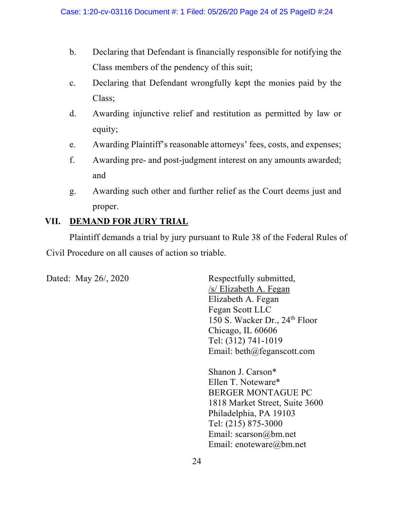- b. Declaring that Defendant is financially responsible for notifying the Class members of the pendency of this suit;
- c. Declaring that Defendant wrongfully kept the monies paid by the Class;
- d. Awarding injunctive relief and restitution as permitted by law or equity;
- e. Awarding Plaintiff's reasonable attorneys' fees, costs, and expenses;
- f. Awarding pre- and post-judgment interest on any amounts awarded; and
- g. Awarding such other and further relief as the Court deems just and proper.

# **VII. DEMAND FOR JURY TRIAL**

Plaintiff demands a trial by jury pursuant to Rule 38 of the Federal Rules of Civil Procedure on all causes of action so triable.

Dated: May 26/, 2020 Respectfully submitted, /s/ Elizabeth A. Fegan Elizabeth A. Fegan Fegan Scott LLC 150 S. Wacker Dr., 24<sup>th</sup> Floor Chicago, IL 60606 Tel: (312) 741-1019 Email: beth@feganscott.com

> Shanon J. Carson\* Ellen T. Noteware\* BERGER MONTAGUE PC 1818 Market Street, Suite 3600 Philadelphia, PA 19103 Tel: (215) 875-3000 Email: scarson@bm.net Email: enoteware@bm.net